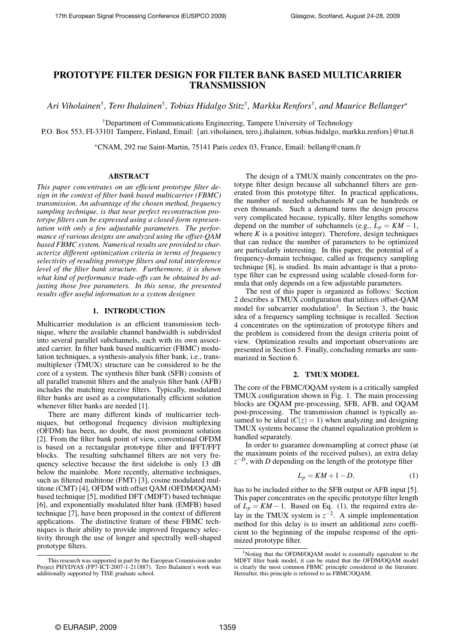# PROTOTYPE FILTER DESIGN FOR FILTER BANK BASED MULTICARRIER TRANSMISSION

*Ari Viholainen*† *, Tero Ihalainen*† *, Tobias Hidalgo Stitz*† *, Markku Renfors*† *, and Maurice Bellanger*?

†Department of Communications Engineering, Tampere University of Technology

P.O. Box 553, FI-33101 Tampere, Finland, Email: {ari.viholainen, tero.j.ihalainen, tobias.hidalgo, markku.renfors}@tut.fi

?CNAM, 292 rue Saint-Martin, 75141 Paris cedex 03, France, Email: bellang@cnam.fr

## ABSTRACT

*This paper concentrates on an efficient prototype filter design in the context of filter bank based multicarrier (FBMC) transmission. An advantage of the chosen method, frequency sampling technique, is that near perfect reconstruction prototype filters can be expressed using a closed-form representation with only a few adjustable parameters. The performance of various designs are analyzed using the offset-QAM based FBMC system. Numerical results are provided to characterize different optimization criteria in terms of frequency selectivity of resulting prototype filters and total interference level of the filter bank structure. Furthermore, it is shown what kind of performance trade-offs can be obtained by adjusting those free parameters. In this sense, the presented results offer useful information to a system designer.*

## 1. INTRODUCTION

Multicarrier modulation is an efficient transmission technique, where the available channel bandwidth is subdivided into several parallel subchannels, each with its own associated carrier. In filter bank based multicarrier (FBMC) modulation techniques, a synthesis-analysis filter bank, i.e., transmultiplexer (TMUX) structure can be considered to be the core of a system. The synthesis filter bank (SFB) consists of all parallel transmit filters and the analysis filter bank (AFB) includes the matching receive filters. Typically, modulated filter banks are used as a computationally efficient solution whenever filter banks are needed [1].

There are many different kinds of multicarrier techniques, but orthogonal frequency division multiplexing (OFDM) has been, no doubt, the most prominent solution [2]. From the filter bank point of view, conventional OFDM is based on a rectangular prototype filter and IFFT/FFT blocks. The resulting subchannel filters are not very frequency selective because the first sidelobe is only 13 dB below the mainlobe. More recently, alternative techniques, such as filtered multitone (FMT) [3], cosine modulated multitone (CMT) [4], OFDM with offset QAM (OFDM/OQAM) based technique [5], modified DFT (MDFT) based technique [6], and exponentially modulated filter bank (EMFB) based technique [7], have been proposed in the context of different applications. The distinctive feature of these FBMC techniques is their ability to provide improved frequency selectivity through the use of longer and spectrally well-shaped prototype filters.

The design of a TMUX mainly concentrates on the prototype filter design because all subchannel filters are generated from this prototype filter. In practical applications, the number of needed subchannels *M* can be hundreds or even thousands. Such a demand turns the design process very complicated because, typically, filter lengths somehow depend on the number of subchannels (e.g.,  $L_p = KM - 1$ , where  $K$  is a positive integer). Therefore, design techniques that can reduce the number of parameters to be optimized are particularly interesting. In this paper, the potential of a frequency-domain technique, called as frequency sampling technique [8], is studied. Its main advantage is that a prototype filter can be expressed using scalable closed-form formula that only depends on a few adjustable parameters.

The rest of this paper is organized as follows: Section 2 describes a TMUX configuration that utilizes offset-QAM model for subcarrier modulation<sup>1</sup>. In Section 3, the basic idea of a frequency sampling technique is recalled. Section 4 concentrates on the optimization of prototype filters and the problem is considered from the design criteria point of view. Optimization results and important observations are presented in Section 5. Finally, concluding remarks are summarized in Section 6.

## 2. TMUX MODEL

The core of the FBMC/OQAM system is a critically sampled TMUX configuration shown in Fig. 1. The main processing blocks are OQAM pre-processing, SFB, AFB, and OQAM post-processing. The transmission channel is typically assumed to be ideal  $(C(z) = 1)$  when analyzing and designing TMUX systems because the channel equalization problem is handled separately.

In order to guarantee downsampling at correct phase (at the maximum points of the received pulses), an extra delay  $z^{-D}$ , with *D* depending on the length of the prototype filter

$$
L_p = KM + 1 - D,\tag{1}
$$

has to be included either to the SFB output or AFB input [5]. This paper concentrates on the specific prototype filter length of  $L_p = KM - 1$ . Based on Eq. (1), the required extra delay in the TMUX system is  $z^{-2}$ . A simple implementation method for this delay is to insert an additional zero coefficient to the beginning of the impulse response of the optimized prototype filter.

This research was supported in part by the European Commission under Project PHYDYAS (FP7-ICT-2007-1-211887). Tero Ihalainen's work was additionally supported by TISE graduate school.

<sup>&</sup>lt;sup>1</sup>Noting that the OFDM/OQAM model is essentially equivalent to the MDFT filter bank model, it can be stated that the OFDM/OQAM model is clearly the most common FBMC principle considered in the literature. Hereafter, this principle is referred to as FBMC/OQAM.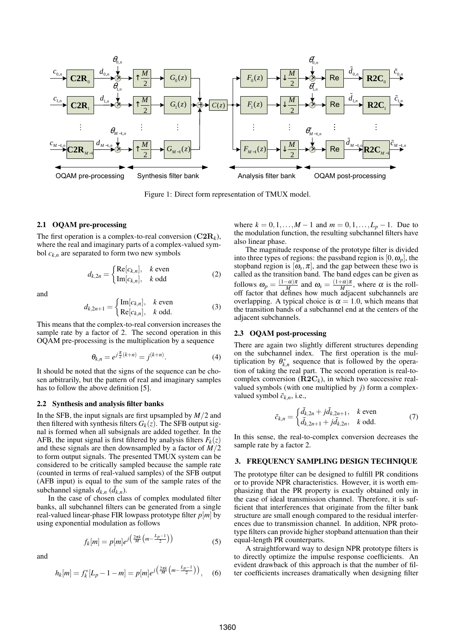

Figure 1: Direct form representation of TMUX model.

### 2.1 OQAM pre-processing

The first operation is a complex-to-real conversion  $(C2R_k)$ , where the real and imaginary parts of a complex-valued symbol  $c_{k,n}$  are separated to form two new symbols

$$
d_{k,2n} = \begin{cases} \text{Re}[c_{k,n}], & k \text{ even} \\ \text{Im}[c_{k,n}], & k \text{ odd} \end{cases}
$$
 (2)

and

$$
d_{k,2n+1} = \begin{cases} \text{Im}[c_{k,n}], & k \text{ even} \\ \text{Re}[c_{k,n}], & k \text{ odd.} \end{cases}
$$
 (3)

This means that the complex-to-real conversion increases the sample rate by a factor of 2. The second operation in this OQAM pre-processing is the multiplication by a sequence

$$
\theta_{k,n} = e^{j\frac{\pi}{2}(k+n)} = j^{(k+n)}.
$$
 (4)

It should be noted that the signs of the sequence can be chosen arbitrarily, but the pattern of real and imaginary samples has to follow the above definition [5].

### 2.2 Synthesis and analysis filter banks

In the SFB, the input signals are first upsampled by *M*/2 and then filtered with synthesis filters  $G_k(z)$ . The SFB output signal is formed when all subsignals are added together. In the AFB, the input signal is first filtered by analysis filters  $F_k(z)$ and these signals are then downsampled by a factor of *M*/2 to form output signals. The presented TMUX system can be considered to be critically sampled because the sample rate (counted in terms of real-valued samples) of the SFB output (AFB input) is equal to the sum of the sample rates of the subchannel signals  $d_{k,n}$  ( $\tilde{d}_{k,n}$ ).

In the case of chosen class of complex modulated filter banks, all subchannel filters can be generated from a single real-valued linear-phase FIR lowpass prototype filter *p*[*m*] by using exponential modulation as follows

$$
f_k[m] = p[m]e^{j\left(\frac{2\pi k}{M}\left(m - \frac{L_p - 1}{2}\right)\right)}\tag{5}
$$

and

$$
h_k[m] = f_k^*[L_p - 1 - m] = p[m]e^{j\left(\frac{2\pi k}{M}\left(m - \frac{L_p - 1}{2}\right)\right)}, \quad (6)
$$

where  $k = 0, 1, ..., M - 1$  and  $m = 0, 1, ..., L_p - 1$ . Due to the modulation function, the resulting subchannel filters have also linear phase.

The magnitude response of the prototype filter is divided into three types of regions: the passband region is  $[0, \omega_p]$ , the stopband region is  $[\omega_s, \pi]$ , and the gap between these two is called as the transition band. The band edges can be given as follows  $\omega_p = \frac{(1-\alpha)\pi}{M}$  $\frac{(\alpha)\pi}{M}$  and  $\omega_s = \frac{(1+\alpha)\pi}{M}$  $\frac{\mu}{M}$ , where  $\alpha$  is the rolloff factor that defines how much adjacent subchannels are overlapping. A typical choice is  $\alpha = 1.0$ , which means that the transition bands of a subchannel end at the centers of the adjacent subchannels.

## 2.3 OQAM post-processing

There are again two slightly different structures depending on the subchannel index. The first operation is the multiplication by  $\theta_{k,n}^*$  sequence that is followed by the operation of taking the real part. The second operation is real-tocomplex conversion  $(\mathbf{R2C}_k)$ , in which two successive realvalued symbols (with one multiplied by *j*) form a complexvalued symbol  $\tilde{c}_{k,n}$ , i.e.,

$$
\tilde{c}_{k,n} = \begin{cases} \tilde{d}_{k,2n} + j\tilde{d}_{k,2n+1}, & k \text{ even} \\ \tilde{d}_{k,2n+1} + j\tilde{d}_{k,2n}, & k \text{ odd.} \end{cases}
$$
(7)

In this sense, the real-to-complex conversion decreases the sample rate by a factor 2.

#### 3. FREQUENCY SAMPLING DESIGN TECHNIQUE

The prototype filter can be designed to fulfill PR conditions or to provide NPR characteristics. However, it is worth emphasizing that the PR property is exactly obtained only in the case of ideal transmission channel. Therefore, it is sufficient that interferences that originate from the filter bank structure are small enough compared to the residual interferences due to transmission channel. In addition, NPR prototype filters can provide higher stopband attenuation than their equal-length PR counterparts.

A straightforward way to design NPR prototype filters is to directly optimize the impulse response coefficients. An evident drawback of this approach is that the number of filter coefficients increases dramatically when designing filter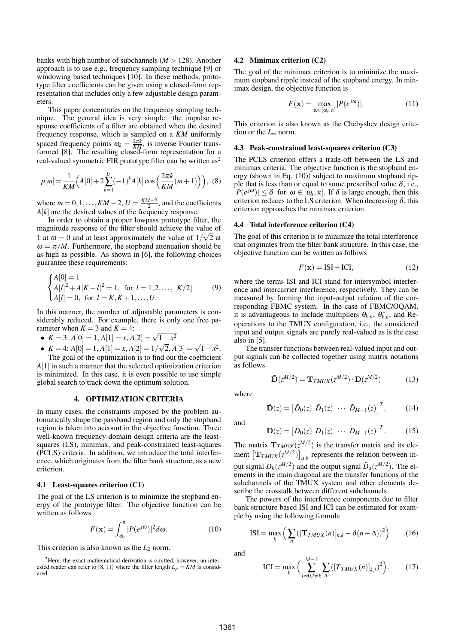banks with high number of subchannels  $(M > 128)$ . Another approach is to use e.g., frequency sampling technique [9] or windowing based techniques [10]. In these methods, prototype filter coefficients can be given using a closed-form representation that includes only a few adjustable design parameters.

This paper concentrates on the frequency sampling technique. The general idea is very simple: the impulse response coefficients of a filter are obtained when the desired frequency response, which is sampled on a *KM* uniformly spaced frequency points  $\omega_k = \frac{2\pi k}{KM}$ , is inverse Fourier trans-formed [8]. The resulting closed-form representation for a real-valued symmetric FIR prototype filter can be written  $as^2$ 

$$
p[m] = \frac{1}{KM} \Big( A[0] + 2 \sum_{k=1}^{U} (-1)^k A[k] \cos \left( \frac{2\pi k}{KM} (m+1) \right) \Big), \tag{8}
$$

where  $m = 0, 1, \ldots, KM - 2, U = \frac{KM - 2}{2}$ , and the coefficients  $A[k]$  are the desired values of the frequency response.

In order to obtain a proper lowpass prototype filter, the magnitude response of the filter should achieve the value of 1 at  $\omega = 0$  and at least approximately the value of  $1/\sqrt{2}$  at  $\omega = \pi/M$ . Furthermore, the stopband attenuation should be as high as possible. As shown in [6], the following choices guarantee these requirements:

$$
\begin{cases}\nA[0] = 1 \\
A[l]^2 + A[K - l]^2 = 1, \text{ for } l = 1, 2, \dots, \lfloor K/2 \rfloor \\
A[l] = 0, \text{ for } l = K, K + 1, \dots, U.\n\end{cases} \tag{9}
$$

In this manner, the number of adjustable parameters is considerably reduced. For example, there is only one free parameter when  $K = 3$  and  $K = 4$ :

- ameter when *K* = 3 and *K* = 4:<br>
► *K* = 3: *A*[0] = 1, *A*[1] = *x*, *A*[2] =  $\sqrt{1-x^2}$
- $K = 3$ .  $A[0] = 1, A[1] = x, A[2] = \sqrt{1-x^2}$ .<br>
  $K = 4$ :  $A[0] = 1, A[1] = x, A[2] = 1/\sqrt{2}, A[3] = \sqrt{1-x^2}$ . The goal of the optimization is to find out the coefficient

*A*[1] in such a manner that the selected optimization criterion is minimized. In this case, it is even possible to use simple global search to track down the optimum solution.

#### 4. OPTIMIZATION CRITERIA

In many cases, the constraints imposed by the problem automatically shape the passband region and only the stopband region is taken into account in the objective function. Three well-known frequency-domain design criteria are the leastsquares (LS), minimax, and peak-constrained least-squares (PCLS) criteria. In addition, we introduce the total interference, which originates from the filter bank structure, as a new criterion.

#### 4.1 Least-squares criterion (C1)

The goal of the LS criterion is to minimize the stopband energy of the prototype filter. The objective function can be written as follows

$$
F(\mathbf{x}) = \int_{\omega_s}^{\pi} |P(e^{j\omega})|^2 d\omega.
$$
 (10)

This criterion is also known as the  $L_2$  norm.

#### 4.2 Minimax criterion (C2)

The goal of the minimax criterion is to minimize the maximum stopband ripple instead of the stopband energy. In minimax design, the objective function is

$$
F(\mathbf{x}) = \max_{\omega \in [\omega_s, \pi]} |P(e^{j\omega})|.
$$
 (11)

This criterion is also known as the Chebyshev design criterion or the *L*<sup>∞</sup> norm.

#### 4.3 Peak-constrained least-squares criterion (C3)

The PCLS criterion offers a trade-off between the LS and minimax criteria. The objective function is the stopband energy (shown in Eq. (10)) subject to maximum stopband ripple that is less than or equal to some prescribed value  $\delta$ , i.e.,  $|P(e^{j\omega})| \leq \delta$  for  $\omega \in [\omega_s, \pi]$ . If  $\delta$  is large enough, then this criterion reduces to the LS criterion. When decreasing  $\delta$ , this criterion approaches the minimax criterion.

#### 4.4 Total interference criterion (C4)

The goal of this criterion is to minimize the total interference that originates from the filter bank structure. In this case, the objective function can be written as follows

$$
F(\mathbf{x}) = \text{ISI} + \text{ICI},\tag{12}
$$

where the terms ISI and ICI stand for intersymbol interference and intercarrier interference, respectively. They can be measured by forming the input-output relation of the corresponding FBMC system. In the case of FBMC/OQAM, it is advantageous to include multipliers  $\theta_{k,n}$ ,  $\theta_{k,n}^*$ , and Reoperations to the TMUX configuration, i.e., the considered input and output signals are purely real-valued as is the case also in [5].

The transfer functions between real-valued input and output signals can be collected together using matrix notations as follows

$$
\tilde{\mathbf{D}}(z^{M/2}) = \mathbf{T}_{TMUX}(z^{M/2}) \cdot \mathbf{D}(z^{M/2}) \tag{13}
$$

where

$$
\tilde{\mathbf{D}}(z) = \begin{bmatrix} \tilde{D}_0(z) & \tilde{D}_1(z) & \cdots & \tilde{D}_{M-1}(z) \end{bmatrix}^T, \quad (14)
$$

and

$$
\mathbf{D}(z) = [D_0(z) \ D_1(z) \ \cdots \ D_{M-1}(z)]^T. \tag{15}
$$

The matrix  $\mathbf{T}_{TMUX}(z^{M/2})$  is the transfer matrix and its element  $[\mathbf{T}_{TMUX}(z^{M/2})]_{a,b}$  represents the relation between in-¤  $a,b$  represents the relation between input signal  $D_b(z^{M/2})$  and the output signal  $\tilde{D}_a(z^{M/2})$ . The elements in the main diagonal are the transfer functions of the subchannels of the TMUX system and other elements describe the crosstalk between different subchannels.

The powers of the interference components due to filter bank structure based ISI and ICI can be estimated for example by using the following formula

$$
ISI = \max_{k} \left( \sum_{n} \left( [\mathbf{T}_{TMUX}(n)]_{k,k} - \delta (n - \Delta) \right)^2 \right) \tag{16}
$$

and

$$
ICI = \max_{k} \Big( \sum_{l=0, l \neq k}^{M-1} \sum_{n} \big( [T_{TMUX}(n)]_{k,l} \big)^2 \Big). \tag{17}
$$

<sup>2</sup>Here, the exact mathematical derivation is omitted, however, an interested reader can refer to [8, 11] where the filter length  $L_p = KM$  is considered.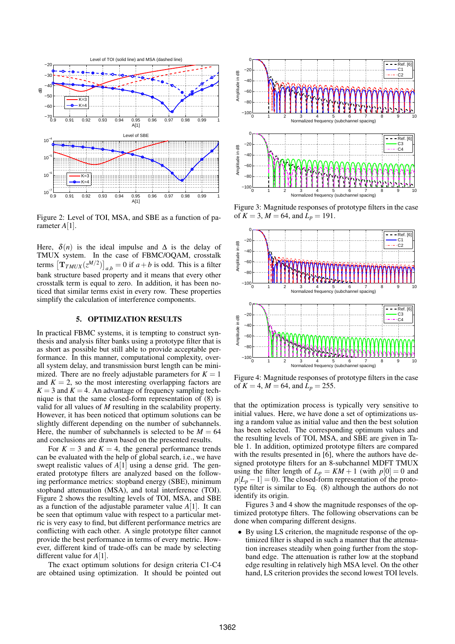

Figure 2: Level of TOI, MSA, and SBE as a function of parameter *A*[1].

Here,  $\delta(n)$  is the ideal impulse and  $\Delta$  is the delay of TMUX system. In the case of FBMC/OQAM, crosstalk TMOX system. In the case of FBMC/OQAM, crosstand<br>terms  $[T_{TMUX}(z^{M/2})]_{a,b} = 0$  if  $a + b$  is odd. This is a filter bank structure based property and it means that every other crosstalk term is equal to zero. In addition, it has been noticed that similar terms exist in every row. These properties simplify the calculation of interference components.

### 5. OPTIMIZATION RESULTS

In practical FBMC systems, it is tempting to construct synthesis and analysis filter banks using a prototype filter that is as short as possible but still able to provide acceptable performance. In this manner, computational complexity, overall system delay, and transmission burst length can be minimized. There are no freely adjustable parameters for  $K = 1$ and  $K = 2$ , so the most interesting overlapping factors are  $K = 3$  and  $K = 4$ . An advantage of frequency sampling technique is that the same closed-form representation of (8) is valid for all values of *M* resulting in the scalability property. However, it has been noticed that optimum solutions can be slightly different depending on the number of subchannels. Here, the number of subchannels is selected to be  $M = 64$ and conclusions are drawn based on the presented results.

For  $K = 3$  and  $K = 4$ , the general performance trends can be evaluated with the help of global search, i.e., we have swept realistic values of *A*[1] using a dense grid. The generated prototype filters are analyzed based on the following performance metrics: stopband energy (SBE), minimum stopband attenuation (MSA), and total interference (TOI). Figure 2 shows the resulting levels of TOI, MSA, and SBE as a function of the adjustable parameter value *A*[1]. It can be seen that optimum value with respect to a particular metric is very easy to find, but different performance metrics are conflicting with each other. A single prototype filter cannot provide the best performance in terms of every metric. However, different kind of trade-offs can be made by selecting different value for *A*[1].

The exact optimum solutions for design criteria C1-C4 are obtained using optimization. It should be pointed out



Figure 3: Magnitude responses of prototype filters in the case of  $K = 3$ ,  $M = 64$ , and  $L_p = 191$ .



Figure 4: Magnitude responses of prototype filters in the case of  $K = 4$ ,  $M = 64$ , and  $L_p = 255$ .

that the optimization process is typically very sensitive to initial values. Here, we have done a set of optimizations using a random value as initial value and then the best solution has been selected. The corresponding optimum values and the resulting levels of TOI, MSA, and SBE are given in Table 1. In addition, optimized prototype filters are compared with the results presented in [6], where the authors have designed prototype filters for an 8-subchannel MDFT TMUX using the filter length of  $L_p = KM + 1$  (with  $p[0] = 0$  and  $p[L_p-1]=0$ ). The closed-form representation of the prototype filter is similar to Eq. (8) although the authors do not identify its origin.

Figures 3 and 4 show the magnitude responses of the optimized prototype filters. The following observations can be done when comparing different designs.

• By using LS criterion, the magnitude response of the optimized filter is shaped in such a manner that the attenuation increases steadily when going further from the stopband edge. The attenuation is rather low at the stopband edge resulting in relatively high MSA level. On the other hand, LS criterion provides the second lowest TOI levels.